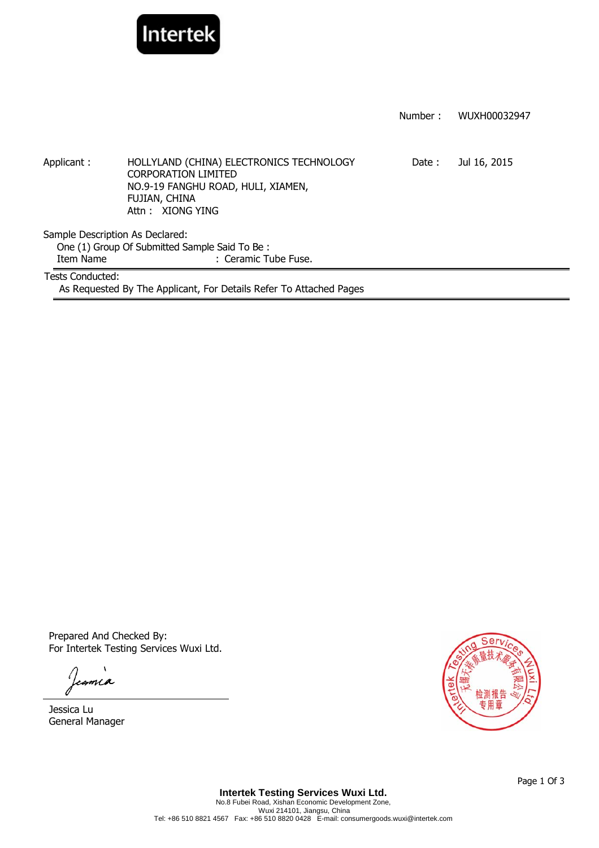

|                         |                                                                                                                                                   | Number: | WUXH00032947 |  |
|-------------------------|---------------------------------------------------------------------------------------------------------------------------------------------------|---------|--------------|--|
| Applicant:              | HOLLYLAND (CHINA) ELECTRONICS TECHNOLOGY<br><b>CORPORATION LIMITED</b><br>NO.9-19 FANGHU ROAD, HULI, XIAMEN,<br>FUJIAN, CHINA<br>Attn: XIONG YING | Date:   | Jul 16, 2015 |  |
| Item Name               | Sample Description As Declared:<br>One (1) Group Of Submitted Sample Said To Be:<br>: Ceramic Tube Fuse.                                          |         |              |  |
| <b>Tests Conducted:</b> | As Requested By The Applicant, For Details Refer To Attached Pages                                                                                |         |              |  |

Prepared And Checked By: For Intertek Testing Services Wuxi Ltd.

Jeania

Jessica Lu General Manager

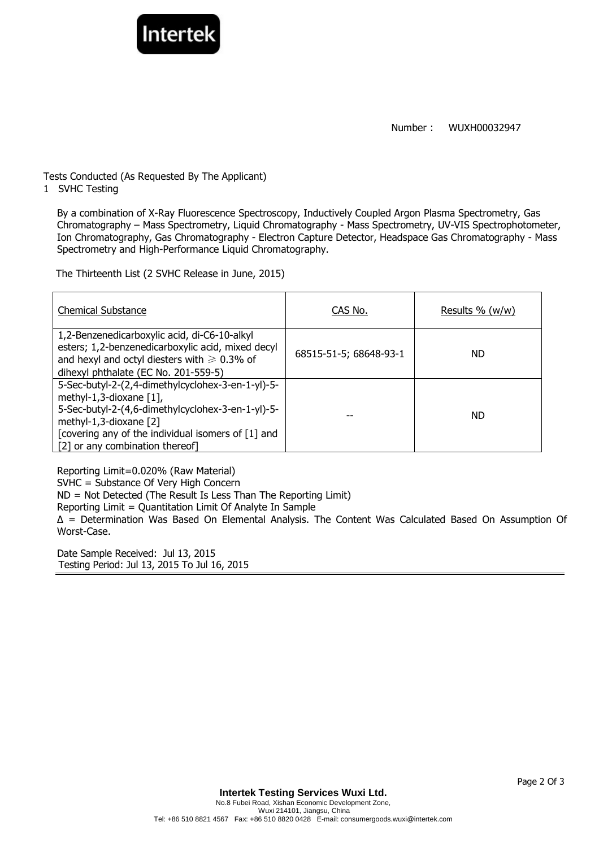

Number : WUXH00032947

Tests Conducted (As Requested By The Applicant)

Interte

1 SVHC Testing

By a combination of X-Ray Fluorescence Spectroscopy, Inductively Coupled Argon Plasma Spectrometry, Gas Chromatography – Mass Spectrometry, Liquid Chromatography - Mass Spectrometry, UV-VIS Spectrophotometer, Ion Chromatography, Gas Chromatography - Electron Capture Detector, Headspace Gas Chromatography - Mass Spectrometry and High-Performance Liquid Chromatography.

The Thirteenth List (2 SVHC Release in June, 2015)

| <b>Chemical Substance</b>                                                                                                                                                                                                                               | CAS No.                | Results $\%$ (w/w) |
|---------------------------------------------------------------------------------------------------------------------------------------------------------------------------------------------------------------------------------------------------------|------------------------|--------------------|
| 1,2-Benzenedicarboxylic acid, di-C6-10-alkyl<br>esters; 1,2-benzenedicarboxylic acid, mixed decyl<br>and hexyl and octyl diesters with $\geq 0.3\%$ of<br>dihexyl phthalate (EC No. 201-559-5)                                                          | 68515-51-5; 68648-93-1 | ND.                |
| 5-Sec-butyl-2-(2,4-dimethylcyclohex-3-en-1-yl)-5-<br>methyl-1,3-dioxane $[1]$ ,<br>5-Sec-butyl-2-(4,6-dimethylcyclohex-3-en-1-yl)-5-<br>methyl-1,3-dioxane [2]<br>[covering any of the individual isomers of [1] and<br>[2] or any combination thereof] |                        | <b>ND</b>          |

Reporting Limit=0.020% (Raw Material) SVHC = Substance Of Very High Concern ND = Not Detected (The Result Is Less Than The Reporting Limit) Reporting Limit = Quantitation Limit Of Analyte In Sample ∆ = Determination Was Based On Elemental Analysis. The Content Was Calculated Based On Assumption Of Worst-Case.

Date Sample Received: Jul 13, 2015 Testing Period: Jul 13, 2015 To Jul 16, 2015